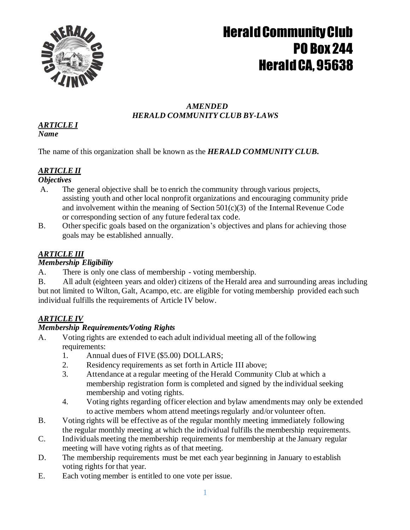

#### *AMENDED HERALD COMMUNITY CLUB BY-LAWS*

#### *ARTICLE I Name*

The name of this organization shall be known as the *HERALD COMMUNITY CLUB.*

## *ARTICLE II*

### *Objectives*

- A. The general objective shall be to enrich the community through various projects, assisting youth and other local nonprofit organizations and encouraging community pride and involvement within the meaning of Section  $501(c)(3)$  of the Internal Revenue Code or corresponding section of any future federal tax code.
- B. Other specific goals based on the organization's objectives and plans for achieving those goals may be established annually.

## *ARTICLE III*

## *Membership Eligibility*

- A. There is only one class of membership voting membership.
- B. All adult (eighteen years and older) citizens of the Herald area and surrounding areas including but not limited to Wilton, Galt, Acampo, etc. are eligible for voting membership provided each such individual fulfills the requirements of Article IV below.

## *ARTICLE IV*

## *Membership Requirements/Voting Rights*

- A. Voting rights are extended to each adult individual meeting all of the following requirements:
	- 1. Annual dues of FIVE (\$5.00) DOLLARS;
	- 2. Residency requirements as set forth in Article III above;
	- 3. Attendance at a regular meeting of the Herald Community Club at which a membership registration form is completed and signed by the individual seeking membership and voting rights.
	- 4. Voting rights regarding officer election and bylaw amendments may only be extended to active members whom attend meetings regularly and/or volunteer often.
- B. Voting rights will be effective as of the regular monthly meeting immediately following the regular monthly meeting at which the individual fulfills the membership requirements.
- C. Individuals meeting the membership requirements for membership at the January regular meeting will have voting rights as of that meeting.
- D. The membership requirements must be met each year beginning in January to establish voting rights for that year.
- E. Each voting member is entitled to one vote per issue.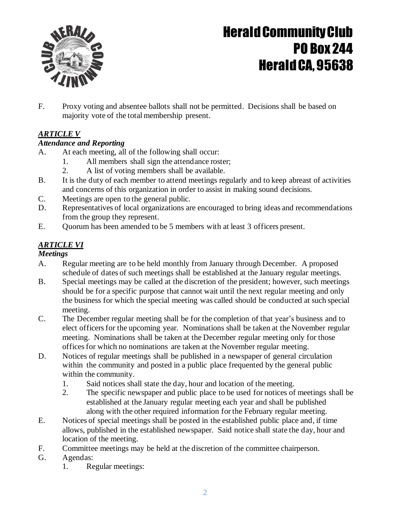

F. Proxy voting and absentee ballots shall not be permitted. Decisions shall be based on majority vote of the total membership present.

## *ARTICLE V*

### *Attendance and Reporting*

- A. At each meeting, all of the following shall occur:
	- 1. All members shall sign the attendance roster;
	- 2. A list of voting members shall be available.
- B. It is the duty of each member to attend meetings regularly and to keep abreast of activities and concerns of this organization in order to assist in making sound decisions.
- C. Meetings are open to the general public.
- D. Representatives of local organizations are encouraged to bring ideas and recommendations from the group they represent.
- E. Quorum has been amended to be 5 members with at least 3 officers present.

### *ARTICLE VI*

#### *Meetings*

- A. Regular meeting are to be held monthly from January through December. A proposed schedule of dates of such meetings shall be established at the January regular meetings.
- B. Special meetings may be called at the discretion of the president; however, such meetings should be for a specific purpose that cannot wait until the next regular meeting and only the business for which the special meeting was called should be conducted at such special meeting.
- C. The December regular meeting shall be for the completion of that year's business and to elect officers for the upcoming year. Nominations shall be taken at the November regular meeting. Nominations shall be taken at the December regular meeting only for those offices for which no nominations are taken at the November regular meeting.
- D. Notices of regular meetings shall be published in a newspaper of general circulation within the community and posted in a public place frequented by the general public within the community.
	- 1. Said notices shall state the day, hour and location of the meeting.
	- 2. The specific newspaper and public place to be used for notices of meetings shall be established at the January regular meeting each year and shall be published along with the other required information for the February regular meeting.
- E. Notices of special meetings shall be posted in the established public place and, if time allows, published in the established newspaper. Said notice shall state the day, hour and location of the meeting.
- F. Committee meetings may be held at the discretion of the committee chairperson.
- G. Agendas:
	- 1. Regular meetings: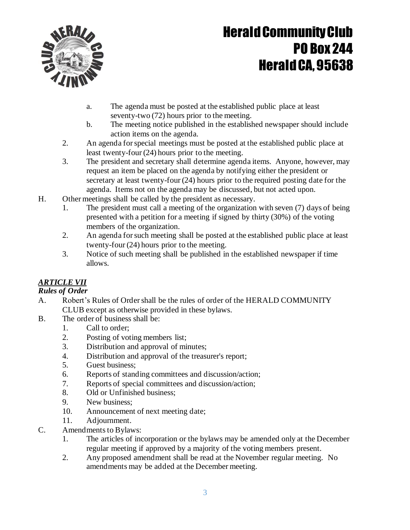

- a. The agenda must be posted at the established public place at least seventy-two (72) hours prior to the meeting.
- b. The meeting notice published in the established newspaper should include action items on the agenda.
- 2. An agenda forspecial meetings must be posted at the established public place at least twenty-four (24) hours prior to the meeting.
- 3. The president and secretary shall determine agenda items. Anyone, however, may request an item be placed on the agenda by notifying either the president or secretary at least twenty-four (24) hours prior to the required posting date for the agenda. Items not on the agenda may be discussed, but not acted upon.
- H. Other meetings shall be called by the president as necessary.
	- 1. The president must call a meeting of the organization with seven (7) days of being presented with a petition for a meeting if signed by thirty (30%) of the voting members of the organization.
	- 2. An agenda forsuch meeting shall be posted at the established public place at least twenty-four (24) hours prior to the meeting.
	- 3. Notice of such meeting shall be published in the established newspaper if time allows.

### *ARTICLE VII*

### *Rules of Order*

- A. Robert's Rules of Order shall be the rules of order of the HERALD COMMUNITY CLUB except as otherwise provided in these bylaws.
- B. The order of business shall be:
	- 1. Call to order;
	- 2. Posting of voting members list;
	- 3. Distribution and approval of minutes;
	- 4. Distribution and approval of the treasurer's report;
	- 5. Guest business;
	- 6. Reports of standing committees and discussion/action;
	- 7. Reports of special committees and discussion/action;
	- 8. Old or Unfinished business;
	- 9. New business;
	- 10. Announcement of next meeting date;
	- 11. Adjournment.
- C. Amendments to Bylaws:
	- 1. The articles of incorporation or the bylaws may be amended only at the December regular meeting if approved by a majority of the voting members present.
	- 2. Any proposed amendment shall be read at the November regular meeting. No amendments may be added at the December meeting.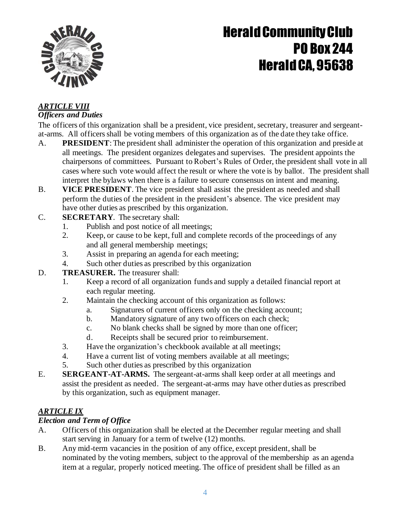

#### *ARTICLE VIII Officers and Duties*

The officers of this organization shall be a president, vice president, secretary, treasurer and sergeantat-arms. All officersshall be voting members of this organization as of the date they take office.

- A. **PRESIDENT**: The president shall administer the operation of this organization and preside at all meetings. The president organizes delegates and supervises. The president appoints the chairpersons of committees. Pursuant to Robert's Rules of Order, the president shall vote in all cases where such vote would affect the result or where the vote is by ballot. The president shall interpret the bylaws when there is a failure to secure consensus on intent and meaning.
- B. **VICE PRESIDENT**. The vice president shall assist the president as needed and shall perform the duties of the president in the president's absence. The vice president may have other duties as prescribed by this organization.
- C. **SECRETARY**. The secretary shall:
	- 1. Publish and post notice of all meetings;
	- 2. Keep, or cause to be kept, full and complete records of the proceedings of any and all general membership meetings;
	- 3. Assist in preparing an agenda for each meeting;
	- 4. Such other duties as prescribed by this organization

### D. **TREASURER.** The treasurer shall:

- 1. Keep a record of all organization funds and supply a detailed financial report at each regular meeting.
- 2. Maintain the checking account of this organization as follows:
	- a. Signatures of current officers only on the checking account;
	- b. Mandatory signature of any two officers on each check;
	- c. No blank checks shall be signed by more than one officer;
	- d. Receipts shall be secured prior to reimbursement.
- 3. Have the organization's checkbook available at all meetings;
- 4. Have a current list of voting members available at all meetings;
- 5. Such other duties as prescribed by this organization
- E. **SERGEANT-AT-ARMS.** The sergeant-at-arms shall keep order at all meetings and assist the president as needed. The sergeant-at-arms may have other duties as prescribed by this organization, such as equipment manager.

## *ARTICLE IX*

### *Election and Term of Office*

- A. Officers of this organization shall be elected at the December regular meeting and shall start serving in January for a term of twelve (12) months.
- B. Any mid-term vacancies in the position of any office, except president, shall be nominated by the voting members, subject to the approval of the membership as an agenda item at a regular, properly noticed meeting. The office of president shall be filled as an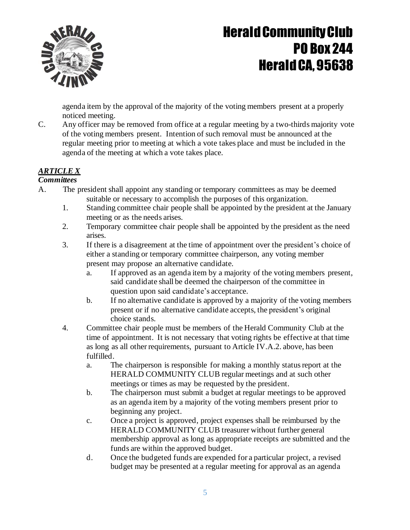

agenda item by the approval of the majority of the voting members present at a properly noticed meeting.

C. Any officer may be removed from office at a regular meeting by a two-thirds majority vote of the voting members present. Intention of such removal must be announced at the regular meeting prior to meeting at which a vote takes place and must be included in the agenda of the meeting at which a vote takes place.

## *ARTICLE X*

#### *Committees*

- A. The president shall appoint any standing or temporary committees as may be deemed suitable or necessary to accomplish the purposes of this organization.
	- 1. Standing committee chair people shall be appointed by the president at the January meeting or as the needs arises.
	- 2. Temporary committee chair people shall be appointed by the president as the need arises.
	- 3. If there is a disagreement at the time of appointment over the president's choice of either a standing or temporary committee chairperson, any voting member present may propose an alternative candidate.
		- a. If approved as an agenda item by a majority of the voting members present, said candidate shall be deemed the chairperson of the committee in question upon said candidate's acceptance.
		- b. If no alternative candidate is approved by a majority of the voting members present or if no alternative candidate accepts, the president's original choice stands.
	- 4. Committee chair people must be members of the Herald Community Club at the time of appointment. It is not necessary that voting rights be effective at that time as long as all other requirements, pursuant to Article IV.A.2. above, has been fulfilled.
		- a. The chairperson is responsible for making a monthly status report at the HERALD COMMUNITY CLUB regular meetings and at such other meetings or times as may be requested by the president.
		- b. The chairperson must submit a budget at regular meetings to be approved as an agenda item by a majority of the voting members present prior to beginning any project.
		- c. Once a project is approved, project expenses shall be reimbursed by the HERALD COMMUNITY CLUB treasurer without further general membership approval as long as appropriate receipts are submitted and the funds are within the approved budget.
		- d. Once the budgeted funds are expended for a particular project, a revised budget may be presented at a regular meeting for approval as an agenda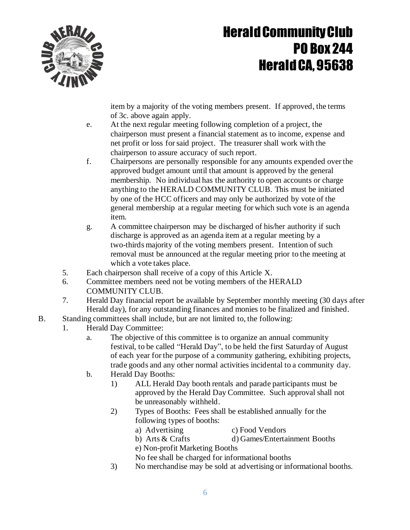

item by a majority of the voting members present. If approved, the terms of 3c. above again apply.

- e. At the next regular meeting following completion of a project, the chairperson must present a financial statement as to income, expense and net profit or loss forsaid project. The treasurer shall work with the chairperson to assure accuracy of such report.
- f. Chairpersons are personally responsible for any amounts expended over the approved budget amount until that amount is approved by the general membership. No individual has the authority to open accounts or charge anything to the HERALD COMMUNITY CLUB. This must be initiated by one of the HCC officers and may only be authorized by vote of the general membership at a regular meeting for which such vote is an agenda item.
- g. A committee chairperson may be discharged of his/her authority if such discharge is approved as an agenda item at a regular meeting by a two-thirds majority of the voting members present. Intention of such removal must be announced at the regular meeting prior to the meeting at which a vote takes place.
- 5. Each chairperson shall receive of a copy of this Article X.
- 6. Committee members need not be voting members of the HERALD COMMUNITY CLUB.
- 7. Herald Day financial report be available by September monthly meeting (30 days after Herald day), for any outstanding finances and monies to be finalized and finished.
- B. Standing committees shall include, but are not limited to, the following:
	- 1. Herald Day Committee:
		- a. The objective of this committee is to organize an annual community festival, to be called "Herald Day", to be held the first Saturday of August of each year for the purpose of a community gathering, exhibiting projects, trade goods and any other normal activities incidental to a community day.
		- b. Herald Day Booths:
			- 1) ALL Herald Day booth rentals and parade participants must be approved by the Herald Day Committee. Such approval shall not be unreasonably withheld.
			- 2) Types of Booths: Fees shall be established annually for the following types of booths:
				- a) Advertising c) Food Vendors
					-
				- b) Arts & Crafts d) Games/Entertainment Booths
				- e) Non-profit Marketing Booths
				- No fee shall be charged for informational booths
			- 3) No merchandise may be sold at advertising or informational booths.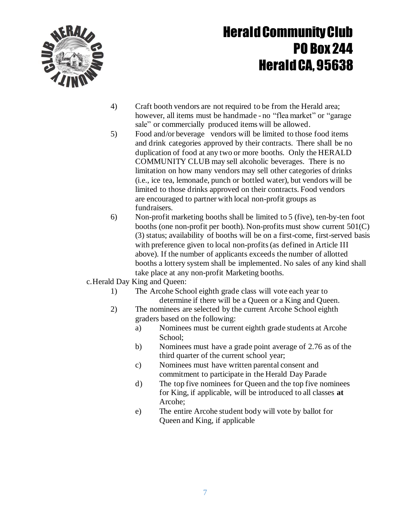

- 4) Craft booth vendors are not required to be from the Herald area; however, all items must be handmade - no "flea market" or "garage sale" or commercially produced items will be allowed.
- 5) Food and/or beverage vendors will be limited to those food items and drink categories approved by their contracts. There shall be no duplication of food at any two or more booths. Only the HERALD COMMUNITY CLUB may sell alcoholic beverages. There is no limitation on how many vendors may sell other categories of drinks (i.e., ice tea, lemonade, punch or bottled water), but vendors will be limited to those drinks approved on their contracts. Food vendors are encouraged to partner with local non-profit groups as fundraisers.
- 6) Non-profit marketing booths shall be limited to 5 (five), ten-by-ten foot booths (one non-profit per booth). Non-profits must show current 501(C) (3) status; availability of booths will be on a first-come, first-served basis with preference given to local non-profits (as defined in Article III above). If the number of applicants exceeds the number of allotted booths a lottery system shall be implemented. No sales of any kind shall take place at any non-profit Marketing booths.
- c.Herald Day King and Queen:
	- 1) The Arcohe School eighth grade class will vote each year to determine if there will be a Queen or a King and Queen.
	- 2) The nominees are selected by the current Arcohe School eighth graders based on the following:
		- a) Nominees must be current eighth grade students at Arcohe School;
		- b) Nominees must have a grade point average of 2.76 as of the third quarter of the current school year;
		- c) Nominees must have written parental consent and commitment to participate in the Herald Day Parade
		- d) The top five nominees for Queen and the top five nominees for King, if applicable, will be introduced to all classes **at** Arcohe;
		- e) The entire Arcohe student body will vote by ballot for Queen and King, if applicable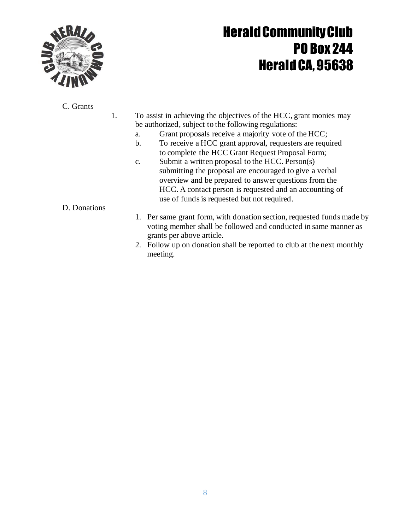

### C. Grants

- 1. To assist in achieving the objectives of the HCC, grant monies may be authorized, subject to the following regulations:
	- a. Grant proposals receive a majority vote of the HCC;
	- b. To receive a HCC grant approval, requesters are required to complete the HCC Grant Request Proposal Form;
	- c. Submit a written proposal to the HCC. Person(s) submitting the proposal are encouraged to give a verbal overview and be prepared to answer questions from the HCC. A contact person is requested and an accounting of use of funds is requested but not required.

### D. Donations

- 1. Per same grant form, with donation section, requested funds made by voting member shall be followed and conducted in same manner as grants per above article.
- 2. Follow up on donation shall be reported to club at the next monthly meeting.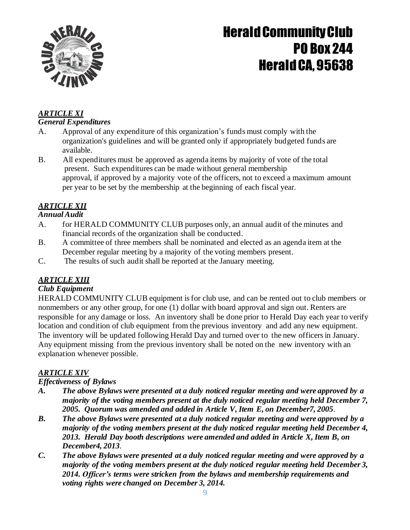

#### *ARTICLE XI General Expenditures*

- A. Approval of any expenditure of this organization's funds must comply with the organization's guidelines and will be granted only if appropriately budgeted funds are available.
- B. All expenditures must be approved as agenda items by majority of vote of the total present. Such expenditures can be made without general membership approval, if approved by a majority vote of the officers, not to exceed a maximum amount per year to be set by the membership at the beginning of each fiscal year.

## *ARTICLE XII*

### *AnnualAudit*

- A. for HERALD COMMUNITY CLUB purposes only, an annual audit of the minutes and financial records of the organization shall be conducted.
- B. A committee of three members shall be nominated and elected as an agenda item at the December regular meeting by a majority of the voting members present.
- C. The results of such audit shall be reported at the January meeting.

## *ARTICLE XIII*

### *Club Equipment*

HERALD COMMUNITY CLUB equipment is for club use, and can be rented out to club members or nonmembers or any other group, for one (1) dollar with board approval and sign out. Renters are responsible for any damage or loss. An inventory shall be done prior to Herald Day each year to verify location and condition of club equipment from the previous inventory and add any new equipment. The inventory will be updated following Herald Day and turned over to the new officers in January. Any equipment missing from the previous inventory shall be noted on the new inventory with an explanation whenever possible.

## *ARTICLE XIV*

## *Effectiveness of Bylaws*

- *A. The above Bylaws were presented at a duly noticed regular meeting and were approved by a majority of the voting members present at the duly noticed regular meeting held December 7, 2005. Quorum was amended and added in Article V,Item E, on December7, 2005*.
- *B. The above Bylaws were presented at a duly noticed regular meeting and were approved by a majority of the voting members present at the duly noticed regular meeting held December 4, 2013. Herald Day booth descriptions were amended and added in Article X, Item B, on December4, 2013*.
- *C. The above Bylaws were presented at a duly noticed regular meeting and were approved by a majority of the voting members present at the duly noticed regular meeting held December 3, 2014. Officer's terms were stricken from the bylaws and membership requirements and voting rights were changed on December 3, 2014.*